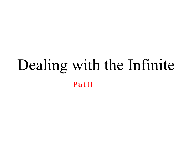# Dealing with the Infinite Part II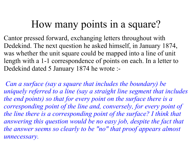# How many points in a square?

Cantor pressed forward, exchanging letters throughout with Dedekind. The next question he asked himself, in January 1874, was whether the unit square could be mapped into a line of unit length with a 1-1 correspondence of points on each. In a letter to Dedekind dated 5 January 1874 he wrote :-

*Can a surface (say a square that includes the boundary) be uniquely referred to a line (say a straight line segment that includes the end points) so that for every point on the surface there is a corresponding point of the line and, conversely, for every point of the line there is a corresponding point of the surface? I think that answering this question would be no easy job, despite the fact that the answer seems so clearly to be "no" that proof appears almost unnecessary.*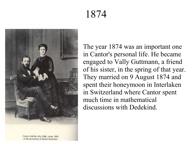# 1874



The year 1874 was an important one in Cantor's personal life. He became engaged to Vally Guttmann, a friend of his sister, in the spring of that year. They married on 9 August 1874 and spent their honeymoon in Interlaken in Switzerland where Cantor spent much time in mathematical discussions with Dedekind.

Cantor with his wife, Vally, about 1880. In the possession of Egbert Schneider.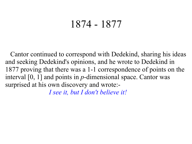#### 1874 - 1877

Cantor continued to correspond with Dedekind, sharing his ideas and seeking Dedekind's opinions, and he wrote to Dedekind in 1877 proving that there was a 1-1 correspondence of points on the interval [0, 1] and points in *p*-dimensional space. Cantor was surprised at his own discovery and wrote:-

*I see it, but I don't believe it!*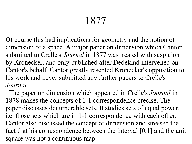# 1877

Of course this had implications for geometry and the notion of dimension of a space. A major paper on dimension which Cantor submitted to Crelle's *Journal* in 1877 was treated with suspicion by Kronecker, and only published after Dedekind intervened on Cantor's behalf. Cantor greatly resented Kronecker's opposition to his work and never submitted any further papers to Crelle's *Journal*.

The paper on dimension which appeared in Crelle's *Journal* in 1878 makes the concepts of 1-1 correspondence precise. The paper discusses denumerable sets. It studies sets of equal power, i.e. those sets which are in 1-1 correspondence with each other. Cantor also discussed the concept of dimension and stressed the fact that his correspondence between the interval [0,1] and the unit square was not a continuous map.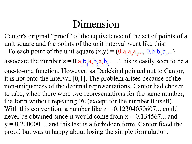# Dimension

Cantor's original "proof" of the equivalence of the set of points of a unit square and the points of the unit interval went like this: To each point of the unit square  $(x,y) = (0.a)$ 1 a 2 a 3 ..., 0.b 1 b 2 b 3 ...) associate the number  $z = 0.a$ 1 b 1 a 2 b 2 a 3 b 3 ... . This is easily seen to be a one-to-one function. However, as Dedekind pointed out to Cantor, it is not onto the interval [0,1]. The problem arises because of the non-uniqueness of the decimal representations. Cantor had chosen to take, when there were two representations for the same number, the form without repeating 0's (except for the number 0 itself). With this convention, a number like  $z = 0.12304050607...$  could never be obtained since it would come from  $x = 0.134567...$  and  $y = 0.200000$  ... and this last is a forbidden form. Cantor fixed the proof, but was unhappy about losing the simple formulation.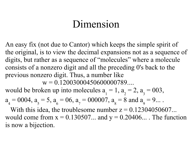#### Dimension

An easy fix (not due to Cantor) which keeps the simple spirit of the original, is to view the decimal expansions not as a sequence of digits, but rather as a sequence of "molecules" where a molecule consists of a nonzero digit and all the preceding 0's back to the previous nonzero digit. Thus, a number like

 $w = 0.12003000450600000789...$ 

would be broken up into molecules a 1  $= 1, a$ 2  $= 2$ , a 3  $= 003,$ 

$$
a_4 = 0004
$$
,  $a_5 = 5$ ,  $a_6 = 06$ ,  $a_7 = 000007$ ,  $a_8 = 8$  and  $a_9 = 9$ ...

With this idea, the troublesome number  $z = 0.12304050607...$ would come from  $x = 0.130507...$  and  $y = 0.20406...$ . The function is now a bijection.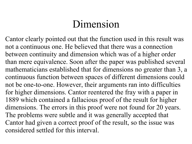# Dimension

Cantor clearly pointed out that the function used in this result was not a continuous one. He believed that there was a connection between continuity and dimension which was of a higher order than mere equivalence. Soon after the paper was published several mathematicians established that for dimensions no greater than 3, a continuous function between spaces of different dimensions could not be one-to-one. However, their arguments ran into difficulties for higher dimensions. Cantor reentered the fray with a paper in 1889 which contained a fallacious proof of the result for higher dimensions. The errors in this proof were not found for 20 years. The problems were subtle and it was generally accepted that Cantor had given a correct proof of the result, so the issue was considered settled for this interval.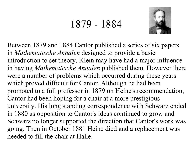#### 1879 - 1884



Between 1879 and 1884 Cantor published a series of six papers in *Mathematische Annalen* designed to provide a basic introduction to set theory. Klein may have had a major influence in having *Mathematische Annalen* published them. However there were a number of problems which occurred during these years which proved difficult for Cantor. Although he had been promoted to a full professor in 1879 on Heine's recommendation, Cantor had been hoping for a chair at a more prestigious university. His long standing correspondence with Schwarz ended in 1880 as opposition to Cantor's ideas continued to grow and Schwarz no longer supported the direction that Cantor's work was going. Then in October 1881 Heine died and a replacement was needed to fill the chair at Halle.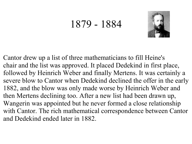#### 1879 - 1884



Cantor drew up a list of three mathematicians to fill Heine's chair and the list was approved. It placed Dedekind in first place, followed by Heinrich Weber and finally Mertens. It was certainly a severe blow to Cantor when Dedekind declined the offer in the early 1882, and the blow was only made worse by Heinrich Weber and then Mertens declining too. After a new list had been drawn up, Wangerin was appointed but he never formed a close relationship with Cantor. The rich mathematical correspondence between Cantor and Dedekind ended later in 1882.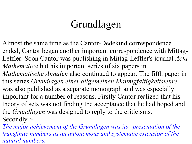# Grundlagen

Almost the same time as the Cantor-Dedekind correspondence ended, Cantor began another important correspondence with Mittag-Leffler. Soon Cantor was publishing in Mittag-Leffler's journal *Acta Mathematica* but his important series of six papers in *Mathematische Annalen* also continued to appear. The fifth paper in this series *Grundlagen einer allgemeinen Mannigfaltigkeitslehre* was also published as a separate monograph and was especially important for a number of reasons. Firstly Cantor realized that his theory of sets was not finding the acceptance that he had hoped and the *Grundlagen* was designed to reply to the criticisms. Secondly :-

*The major achievement of the Grundlagen was its presentation of the transfinite numbers as an autonomous and systematic extension of the natural numbers.*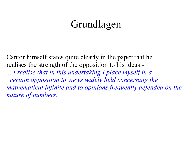#### Grundlagen

Cantor himself states quite clearly in the paper that he realises the strength of the opposition to his ideas:-

*... I realise that in this undertaking I place myself in a certain opposition to views widely held concerning the mathematical infinite and to opinions frequently defended on the nature of numbers.*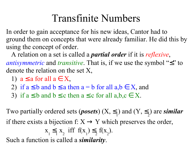In order to gain acceptance for his new ideas, Cantor had to ground them on concepts that were already familiar. He did this by using the concept of order.

A relation on a set is called a *partial order* if it is *reflexive*, *antisymmetric* and *transitive*. That is, if we use the symbol "≤" to denote the relation on the set X,

- 1)  $a \leq a$  for all  $a \in X$ ,
- 2) if  $a \leq b$  and  $b \leq a$  then  $a = b$  for all  $a,b \in X$ , and
- 3) if  $a \leq b$  and  $b \leq c$  then  $a \leq c$  for all  $a,b,c \in X$ .

Two partially ordered sets (*posets*) (X, ≤ 1 ) and  $(Y, \leq)$ 2 ) are *similar* if there exists a bijection f:  $X \rightarrow Y$  which preserves the order, x 1 ≤ 1 x 2 iff f(x 1  $) \leq$ 2 f(x 2 ). Such a function is called a *similarity*.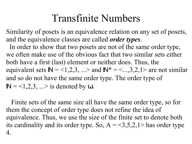Similarity of posets is an equivalence relation on any set of posets, and the equivalence classes are called *order types*.

In order to show that two posets are not of the same order type, we often make use of the obvious fact that two similar sets either both have a first (last) element or neither does. Thus, the equivalent sets  $\mathbb{N} = 1,2,3,...$ > and  $\mathbb{N}^* = 1,3,2,1$ > are not similar and so do not have the same order type. The order type of  $\mathbb{N} = 1, 2, 3, \ldots >$  is denoted by  $\omega$ .

Finite sets of the same size all have the same order type, so for them the concept of order type does not refine the idea of equivalence. Thus, we use the size of the finite set to denote both its cardinality and its order type. So,  $A = 3,5,2,1$  has order type 4.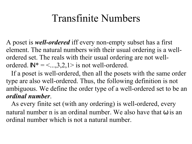A poset is *well-ordered* iff every non-empty subset has a first element. The natural numbers with their usual ordering is a wellordered set. The reals with their usual ordering are not wellordered.  $\mathbb{N}^* = \langle ... , 3, 2, 1 \rangle$  is not well-ordered.

If a poset is well-ordered, then all the posets with the same order type are also well-ordered. Thus, the following definition is not ambiguous. We define the order type of a well-ordered set to be an *ordinal number*.

As every finite set (with any ordering) is well-ordered, every natural number n is an ordinal number. We also have that  $\omega$  is an ordinal number which is not a natural number.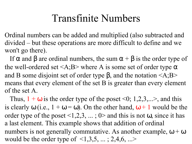Ordinal numbers can be added and multiplied (also subtracted and divided – but these operations are more difficult to define and we won't go there).

If α and β are ordinal numbers, the sum  $\alpha + \beta$  is the order type of the well-ordered set  $\langle A; B \rangle$  where A is some set of order type  $\alpha$ and B some disjoint set of order type  $\beta$ , and the notation  $\langle A;B\rangle$ means that every element of the set B is greater than every element of the set A.

Thus,  $1 + \omega$  is the order type of the poset <0; 1,2,3,...>, and this is clearly  $\omega$  (i.e.,  $1 + \omega = \omega$ ). On the other hand,  $\omega + 1$  would be the order type of the poset  $\leq 1,2,3,...; 0$  and this is not  $\omega$ , since it has a last element. This example shows that addition of ordinal numbers is not generally commutative. As another example,  $\omega + \omega$ would be the order type of  $\leq 1,3,5,...$ ; 2,4,6, ...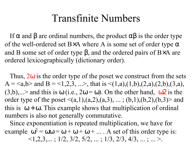If  $\alpha$  and  $\beta$  are ordinal numbers, the product  $\alpha\beta$  is the order type of the well-ordered set B $\times$ A where A is some set of order type  $\alpha$ and B some set of order type β, and the ordered pairs of B×A are ordered lexicographically (dictionary order).

Thus,  $2\omega$  is the order type of the poset we construct from the sets A =  $\langle a,b \rangle$  and B =  $\langle 1,2,3,... \rangle$ , that is  $\langle (1,a),(1,b),(2,a),(2,b),(3,a),$  $(3,b), \ldots$  and this is  $\omega$  (i.e.,  $2\omega = \omega$ ). On the other hand,  $\omega^2$  is the order type of the poset  $\leq (a,1),(a,2),(a,3), \ldots$ ; (b,1),(b,2),(b,3) and this is  $\omega + \omega$ . This example shows that multiplication of ordinal numbers is also not generally commutative.

Since exponentiation is repeated multiplication, we have for example  $\omega^2 = \omega \omega = \omega + \omega + \omega + ...$  A set of this order type is:  $\langle 1,2,3,...; 1/2, 3/2, 5/2,...; 1/3, 2/3, 4/3,...;... \rangle$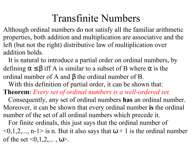Although ordinal numbers do not satisfy all the familiar arithmetic properties, both addition and multiplication are associative and the left (but not the right) distributive law of multiplication over addition holds.

It is natural to introduce a partial order on ordinal numbers, by defining  $\alpha \leq \beta$  iff A is similar to a subset of B where  $\alpha$  is the ordinal number of A and β the ordinal number of B.

With this definition of partial order, it can be shown that:

**Theorem**: *Every set of ordinal numbers is a well-ordered set.*

Consequently, any set of ordinal numbers **has** an ordinal number. Moreover, it can be shown that every ordinal number **is** the ordinal number of the set of all ordinal numbers which precede it.

For finite ordinals, this just says that the ordinal number of  $\leq 0,1,2,..., n-1$  is n. But it also says that  $\omega + 1$  is the ordinal number of the set  $\le 0, 1, 2, ...$ ,  $\omega$ .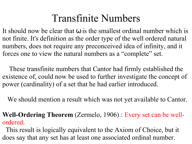It should now be clear that  $\omega$  is the smallest ordinal number which is not finite. It's definition as the order type of the well ordered natural numbers, does not require any preconceived idea of infinity, and it forces one to view the natural numbers as a "complete" set.

These transfinite numbers that Cantor had firmly established the existence of, could now be used to further investigate the concept of power (cardinality) of a set that he had earlier introduced.

We should mention a result which was not yet available to Cantor.

**Well-Ordering Theorem** (Zermelo, 1906) : Every set can be wellordered.

This result is logically equivalent to the Axiom of Choice, but it does say that any set has at least one associated ordinal number.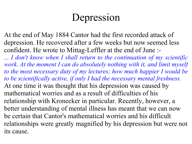## Depression

At the end of May 1884 Cantor had the first recorded attack of depression. He recovered after a few weeks but now seemed less confident. He wrote to Mittag-Leffler at the end of June :-

*... I don't know when I shall return to the continuation of my scientific work. At the moment I can do absolutely nothing with it, and limit myself to the most necessary duty of my lectures; how much happier I would be to be scientifically active, if only I had the necessary mental freshness.* At one time it was thought that his depression was caused by mathematical worries and as a result of difficulties of his relationship with Kronecker in particular. Recently, however, a better understanding of mental illness has meant that we can now be certain that Cantor's mathematical worries and his difficult relationships were greatly magnified by his depression but were not its cause.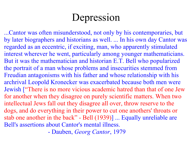# Depression

...Cantor was often misunderstood, not only by his contemporaries, but by later biographers and historians as well. ... In his own day Cantor was regarded as an eccentric, if exciting, man, who apparently stimulated interest wherever he went, particularly among younger mathematicians. But it was the mathematician and historian E.T. Bell who popularized the portrait of a man whose problems and insecurities stemmed from Freudian antagonisms with his father and whose relationship with his archrival Leopold Kronecker was exacerbated because both men were Jewish ["There is no more vicious academic hatred than that of one Jew for another when they disagree on purely scientific matters. When two intellectual Jews fall out they disagree all over, throw reserve to the dogs, and do everything in their power to cut one anothers' throats or stab one another in the back" - Bell (1939)] ... Equally unreliable are Bell's assertions about Cantor's mental illness.

- Dauben, *Georg Cantor*, 1979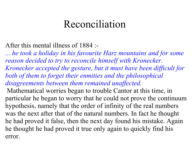#### Reconciliation

After this mental illness of 1884 :-

*... he took a holiday in his favourite Harz mountains and for some reason decided to try to reconcile himself with Kronecker. Kronecker accepted the gesture, but it must have been difficult for both of them to forget their enmities and the philosophical disagreements between them remained unaffected.* Mathematical worries began to trouble Cantor at this time, in particular he began to worry that he could not prove the continuum hypothesis, namely that the order of infinity of the real numbers was the next after that of the natural numbers. In fact he thought he had proved it false, then the next day found his mistake. Again he thought he had proved it true only again to quickly find his error.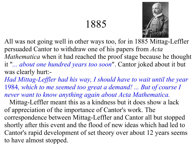# 1885



All was not going well in other ways too, for in 1885 Mittag-Leffler persuaded Cantor to withdraw one of his papers from *Acta Mathematica* when it had reached the proof stage because he thought it "*... about one hundred years too soon*". Cantor joked about it but was clearly hurt:-

*Had Mittag-Leffler had his way, I should have to wait until the year* 1984*, which to me seemed too great a demand! ... But of course I never want to know anything again about Acta Mathematica.*

Mittag-Leffler meant this as a kindness but it does show a lack of appreciation of the importance of Cantor's work. The correspondence between Mittag-Leffler and Cantor all but stopped shortly after this event and the flood of new ideas which had led to Cantor's rapid development of set theory over about 12 years seems to have almost stopped.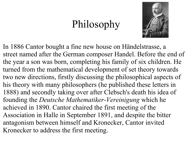# Philosophy



In 1886 Cantor bought a fine new house on Händelstrasse, a street named after the German composer Handel. Before the end of the year a son was born, completing his family of six children. He turned from the mathematical development of set theory towards two new directions, firstly discussing the philosophical aspects of his theory with many philosophers (he published these letters in 1888) and secondly taking over after Clebsch's death his idea of founding the *Deutsche Mathematiker-Vereinigung* which he achieved in 1890. Cantor chaired the first meeting of the Association in Halle in September 1891, and despite the bitter antagonism between himself and Kronecker, Cantor invited Kronecker to address the first meeting.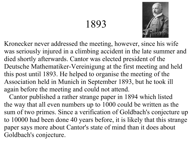#### 1893



Kronecker never addressed the meeting, however, since his wife was seriously injured in a climbing accident in the late summer and died shortly afterwards. Cantor was elected president of the Deutsche Mathematiker-Vereinigung at the first meeting and held this post until 1893. He helped to organise the meeting of the Association held in Munich in September 1893, but he took ill again before the meeting and could not attend.

Cantor published a rather strange paper in 1894 which listed the way that all even numbers up to 1000 could be written as the sum of two primes. Since a verification of Goldbach's conjecture up to 10000 had been done 40 years before, it is likely that this strange paper says more about Cantor's state of mind than it does about Goldbach's conjecture.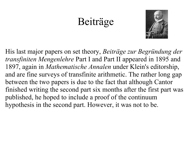#### Beiträge



His last major papers on set theory, *Beiträge zur Begründung der transfiniten Mengenlehre* Part I and Part II appeared in 1895 and 1897, again in *Mathematische Annalen* under Klein's editorship, and are fine surveys of transfinite arithmetic. The rather long gap between the two papers is due to the fact that although Cantor finished writing the second part six months after the first part was published, he hoped to include a proof of the continuum hypothesis in the second part. However, it was not to be.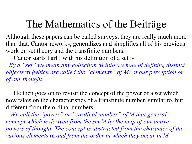Although these papers can be called surveys, they are really much more than that. Cantor reworks, generalizes and simplifies all of his previous work on set theory and the transfinite numbers.

Cantor starts Part I with his definition of a set :-

 *By a "set" we mean any collection M into a whole of definite, distinct objects* m *(which are called the "elements" of M) of our perception or of our thought.*

He then goes on to revisit the concept of the power of a set which now takes on the characteristics of a transfinite number, similar to, but different from the ordinal numbers.

*We call the "power" or "cardinal number" of M that general concept which is derived from the set M by the help of our active powers of thought. The concept is abstracted from the character of the various elements* m *and from the order in which they occur in M.*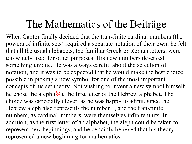When Cantor finally decided that the transfinite cardinal numbers (the powers of infinite sets) required a separate notation of their own, he felt that all the usual alphabets, the familiar Greek or Roman letters, were too widely used for other purposes. His new numbers deserved something unique. He was always careful about the selection of notation, and it was to be expected that he would make the best choice possible in picking a new symbol for one of the most important concepts of his set theory. Not wishing to invent a new symbol himself, he chose the aleph  $(\aleph)$ , the first letter of the Hebrew alphabet. The choice was especially clever, as he was happy to admit, since the Hebrew aleph also represents the number 1, and the transfinite numbers, as cardinal numbers, were themselves infinite units. In addition, as the first letter of an alphabet, the aleph could be taken to represent new beginnings, and he certainly believed that his theory represented a new beginning for mathematics.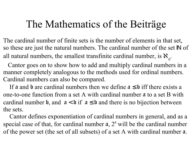The cardinal number of finite sets is the number of elements in that set, so these are just the natural numbers. The cardinal number of the set IN of all natural numbers, the smallest transfinite cardinal number, is  $\aleph_{_0}$ .

 Cantor goes on to show how to add and multiply cardinal numbers in a manner completely analogous to the methods used for ordinal numbers. Cardinal numbers can also be compared.

If a and b are cardinal numbers then we define  $a \leq b$  iff there exists a one-to-one function from a set A with cardinal number a to a set B with cardinal number b, and  $a < b$  if  $a \le b$  and there is no bijection between the sets.

 Cantor defines exponentiation of cardinal numbers in general, and as a special case of that, for cardinal number  $\alpha$ ,  $2^{\alpha}$  will be the cardinal number of the power set (the set of all subsets) of a set A with cardinal number a.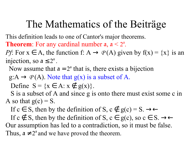This definition leads to one of Cantor's major theorems. **Theorem:** For any cardinal number  $a, a < 2<sup>a</sup>$ .

*Pf*: For  $x \in A$ , the function f:  $A \rightarrow P(A)$  given by  $f(x) = \{x\}$  is an injection, so  $a \leq 2^a$ .

Now assume that  $a = 2^a$  that is, there exists a bijection

 $g:A \to P(A)$ . Note that  $g(x)$  is a subset of A.

Define  $S = \{x \in A : x \notin g(x)\}.$ 

S is a subset of A and since g is onto there must exist some c in A so that  $g(c) = S$ .

If  $c \in S$ , then by the definition of S,  $c \notin g(c) = S$ .  $\rightarrow \leftarrow$ 

If  $c \notin S$ , then by the definition of  $S$ ,  $c \in g(c)$ , so  $c \in S$ .  $\rightarrow \leftarrow$ Our assumption has led to a contradiction, so it must be false. Thus,  $a \neq 2^a$  and we have proved the theorem.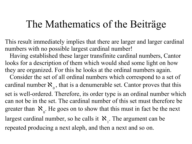This result immediately implies that there are larger and larger cardinal numbers with no possible largest cardinal number!

 Having established these larger transfinite cardinal numbers, Cantor looks for a description of them which would shed some light on how they are organized. For this he looks at the ordinal numbers again.

 Consider the set of all ordinal numbers which correspond to a set of cardinal number  $\aleph$ <sub>0</sub> , that is a denumerable set. Cantor proves that this set is well-ordered. Therefore, its order type is an ordinal number which can not be in the set. The cardinal number of this set must therefore be greater than  $\aleph$ <sub>0</sub> . He goes on to show that this must in fact be the next largest cardinal number, so he calls it  $\mathbf{x}_1$ . The argument can be repeated producing a next aleph, and then a next and so on.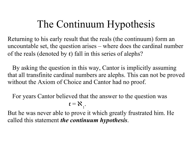# The Continuum Hypothesis

Returning to his early result that the reals (the continuum) form an uncountable set, the question arises – where does the cardinal number of the reals (denoted by c) fall in this series of alephs?

 By asking the question in this way, Cantor is implicitly assuming that all transfinite cardinal numbers are alephs. This can not be proved without the Axiom of Choice and Cantor had no proof.

For years Cantor believed that the answer to the question was

$$
\mathbf{r} = \mathbf{X}_{1}.
$$

But he was never able to prove it which greatly frustrated him. He called this statement *the continuum hypothesis*.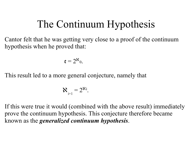# The Continuum Hypothesis

Cantor felt that he was getting very close to a proof of the continuum hypothesis when he proved that:

$$
\mathbf{c}=2^{\aleph_0}.
$$

This result led to a more general conjecture, namely that

$$
\mathbf{X}_{i+1} = 2^{\mathbf{X}i}.
$$

If this were true it would (combined with the above result) immediately prove the continuum hypothesis. This conjecture therefore became known as the *generalized continuum hypothesis*.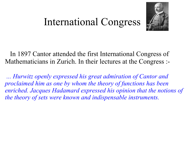#### International Congress



In 1897 Cantor attended the first International Congress of Mathematicians in Zurich. In their lectures at the Congress :-

*... Hurwitz openly expressed his great admiration of Cantor and proclaimed him as one by whom the theory of functions has been enriched. Jacques Hadamard expressed his opinion that the notions of the theory of sets were known and indispensable instruments.*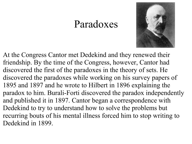#### Paradoxes



At the Congress Cantor met Dedekind and they renewed their friendship. By the time of the Congress, however, Cantor had discovered the first of the paradoxes in the theory of sets. He discovered the paradoxes while working on his survey papers of 1895 and 1897 and he wrote to Hilbert in 1896 explaining the paradox to him. Burali-Forti discovered the paradox independently and published it in 1897. Cantor began a correspondence with Dedekind to try to understand how to solve the problems but recurring bouts of his mental illness forced him to stop writing to Dedekind in 1899.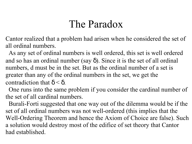# The Paradox

Cantor realized that a problem had arisen when he considered the set of all ordinal numbers.

 As any set of ordinal numbers is well ordered, this set is well ordered and so has an ordinal number (say  $\delta$ ). Since it is the set of all ordinal numbers, d must be in the set. But as the ordinal number of a set is greater than any of the ordinal numbers in the set, we get the contradiction that  $\delta < \delta$ .

 One runs into the same problem if you consider the cardinal number of the set of all cardinal numbers.

 Burali-Forti suggested that one way out of the dilemma would be if the set of all ordinal numbers was not well-ordered (this implies that the Well-Ordering Theorem and hence the Axiom of Choice are false). Such a solution would destroy most of the edifice of set theory that Cantor had established.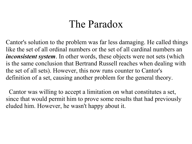#### The Paradox

Cantor's solution to the problem was far less damaging. He called things like the set of all ordinal numbers or the set of all cardinal numbers an *inconsistent system*. In other words, these objects were not sets (which is the same conclusion that Bertrand Russell reaches when dealing with the set of all sets). However, this now runs counter to Cantor's definition of a set, causing another problem for the general theory.

 Cantor was willing to accept a limitation on what constitutes a set, since that would permit him to prove some results that had previously eluded him. However, he wasn't happy about it.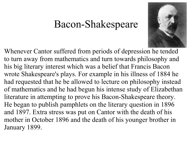#### Bacon-Shakespeare



Whenever Cantor suffered from periods of depression he tended to turn away from mathematics and turn towards philosophy and his big literary interest which was a belief that Francis Bacon wrote Shakespeare's plays. For example in his illness of 1884 he had requested that he be allowed to lecture on philosophy instead of mathematics and he had begun his intense study of Elizabethan literature in attempting to prove his Bacon-Shakespeare theory. He began to publish pamphlets on the literary question in 1896 and 1897. Extra stress was put on Cantor with the death of his mother in October 1896 and the death of his younger brother in January 1899.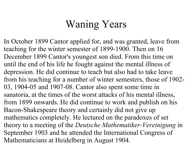# Waning Years

In October 1899 Cantor applied for, and was granted, leave from teaching for the winter semester of 1899-1900. Then on 16 December 1899 Cantor's youngest son died. From this time on until the end of his life he fought against the mental illness of depression. He did continue to teach but also had to take leave from his teaching for a number of winter semesters, those of 1902- 03, 1904-05 and 1907-08. Cantor also spent some time in sanatoria, at the times of the worst attacks of his mental illness, from 1899 onwards. He did continue to work and publish on his Bacon-Shakespeare theory and certainly did not give up mathematics completely. He lectured on the paradoxes of set theory to a meeting of the *Deutsche Mathematiker-Vereinigung* in September 1903 and he attended the International Congress of Mathematicians at Heidelberg in August 1904.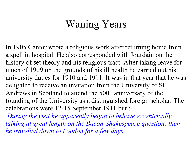## Waning Years

In 1905 Cantor wrote a religious work after returning home from a spell in hospital. He also corresponded with Jourdain on the history of set theory and his religious tract. After taking leave for much of 1909 on the grounds of his ill health he carried out his university duties for 1910 and 1911. It was in that year that he was delighted to receive an invitation from the University of St Andrews in Scotland to attend the  $500<sup>th</sup>$  anniversary of the founding of the University as a distinguished foreign scholar. The celebrations were 12-15 September 1911 but :-

*During the visit he apparently began to behave eccentrically, talking at great length on the Bacon-Shakespeare question; then he travelled down to London for a few days.*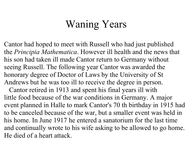# Waning Years

Cantor had hoped to meet with Russell who had just published the *Principia Mathematica*. However ill health and the news that his son had taken ill made Cantor return to Germany without seeing Russell. The following year Cantor was awarded the honorary degree of Doctor of Laws by the University of St Andrews but he was too ill to receive the degree in person.

Cantor retired in 1913 and spent his final years ill with little food because of the war conditions in Germany. A major event planned in Halle to mark Cantor's 70 th birthday in 1915 had to be canceled because of the war, but a smaller event was held in his home. In June 1917 he entered a sanatorium for the last time and continually wrote to his wife asking to be allowed to go home. He died of a heart attack.